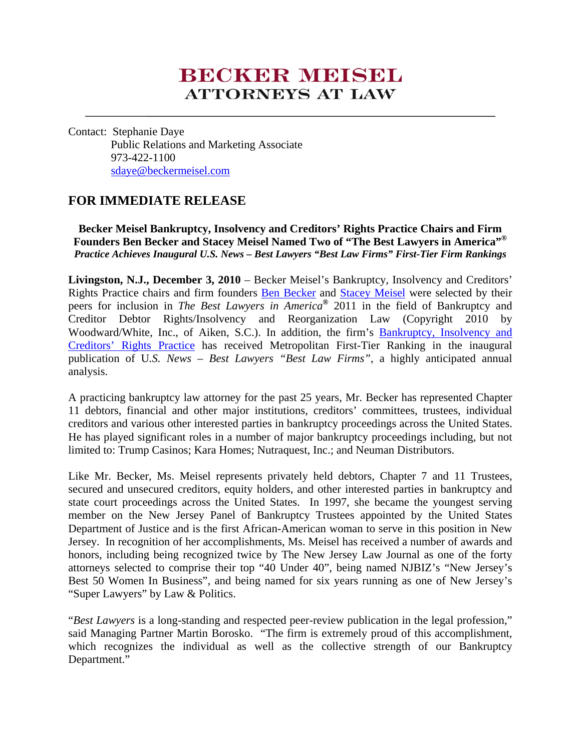# **BECKER MEESH ATTORNEYS AT LAW**

Contact: Stephanie Daye Public Relations and Marketing Associate 973-422-1100 [sdaye@beckermeisel.com](mailto:sdaye@beckermeisel.com)

## **FOR IMMEDIATE RELEASE**

**Becker Meisel Bankruptcy, Insolvency and Creditors' Rights Practice Chairs and Firm Founders Ben Becker and Stacey Meisel Named Two of "The Best Lawyers in America"®** *Practice Achieves Inaugural U.S. News – Best Lawyers "Best Law Firms" First-Tier Firm Rankings*

**Livingston, N.J., December 3, 2010** – Becker Meisel's Bankruptcy, Insolvency and Creditors' Rights Practice chairs and firm founders [Ben Becker](http://www.beckermeisel.com/Our-Attorneys/Partners/Ben-H--Becker.aspx) and [Stacey Meisel](http://www.beckermeisel.com/Our-Attorneys/Partners/Stacey-L--Meisel.aspx) were selected by their peers for inclusion in *The Best Lawyers in America®* 2011 in the field of Bankruptcy and Creditor Debtor Rights/Insolvency and Reorganization Law (Copyright 2010 by Woodward/White, Inc., of Aiken, S.C.). In addition, the firm's [Bankruptcy, Insolvency and](http://www.beckermeisel.com/Practice-areas/Bankruptcy,-Insolvency-and-Creditors-Rights-Litig.aspx)  [Creditors' Rights Practice](http://www.beckermeisel.com/Practice-areas/Bankruptcy,-Insolvency-and-Creditors-Rights-Litig.aspx) has received Metropolitan First-Tier Ranking in the inaugural publication of U*.S. News – Best Lawyers "Best Law Firms"*, a highly anticipated annual analysis.

A practicing bankruptcy law attorney for the past 25 years, Mr. Becker has represented Chapter 11 debtors, financial and other major institutions, creditors' committees, trustees, individual creditors and various other interested parties in bankruptcy proceedings across the United States. He has played significant roles in a number of major bankruptcy proceedings including, but not limited to: Trump Casinos; Kara Homes; Nutraquest, Inc.; and Neuman Distributors.

Like Mr. Becker, Ms. Meisel represents privately held debtors, Chapter 7 and 11 Trustees, secured and unsecured creditors, equity holders, and other interested parties in bankruptcy and state court proceedings across the United States. In 1997, she became the youngest serving member on the New Jersey Panel of Bankruptcy Trustees appointed by the United States Department of Justice and is the first African-American woman to serve in this position in New Jersey. In recognition of her accomplishments, Ms. Meisel has received a number of awards and honors, including being recognized twice by The New Jersey Law Journal as one of the forty attorneys selected to comprise their top "40 Under 40", being named NJBIZ's "New Jersey's Best 50 Women In Business", and being named for six years running as one of New Jersey's "Super Lawyers" by Law & Politics.

"*Best Lawyers* is a long-standing and respected peer-review publication in the legal profession," said Managing Partner Martin Borosko. "The firm is extremely proud of this accomplishment, which recognizes the individual as well as the collective strength of our Bankruptcy Department."